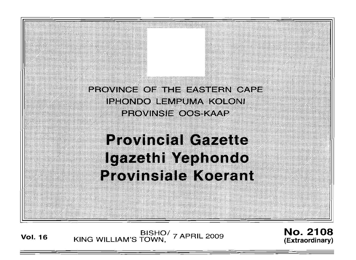PROVINCE OF THE EASTERN CAPE IPHONDO LEMPUMA KOLONI **PROVINSIE OOS-KAAP Provincial Gazette** lgazethi Yephondo **Provinsiale Koerant** 

**Vol. <sup>16</sup>** BISHO/ KING WILLIAM'S TOWN, 7 APRIL 2009

No. 2108 **(Extraordinary)**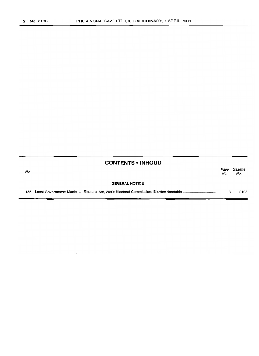## **CONTENTS -INHOUD**

| No. |                       | Page<br>No. | Gazette<br>No. |
|-----|-----------------------|-------------|----------------|
|     | <b>GENERAL NOTICE</b> |             |                |
|     |                       |             | 2108           |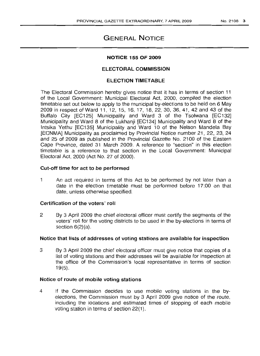# GENERAL NOTICE

#### NOTICE 155 OF 2009

## ELECTORAL COMMISSION

## ELECTION TIMETABLE

The Electoral Commission hereby gives notice that it has in terms of section 11 of the Local Government: Municipal Electoral Act, 2000, compiled the election timetable set out below to apply to the municipal by-elections to be held on 6 May 2009 in respect of Ward 11, 12, 15, 16, 17, 18, 22, 30, 36, 41, 42 and 43 of the Buffalo City [EC125] Municipality and Ward 3 of the Tsolwana [EC132] Municipality and Ward 8 of the Lukhanji [EC134] Municipality and Ward 8 of the Intsika Yethu [EC135] Municipality and Ward "10 of the Nelson Mandela Bay [ECNMA] Municipality as proclaimed by Provincial Notice number 21, 22, 23, 24 and 25 of 2009 as published in the Provincial Gazette No. 2100 of the Eastern Cape Province, dated 31 March 2009. A reference to "section" in this election timetable is a reference to that section in the Local Government: Municipal Electoral Act, 2000 (Act No. 27 of 2000).

## Cut-off time for act to be performed

1 An act required in terms of this Act to be performed by not later than a date in the election timetable must be performed before 17:00 on that date, unless otherwise specified.

## Certification of the voters' roll

2 By 3 April 2009 the chief electoral officer must certify the segments of the voters' roll for the voting districts to be used in the by-elections in terms of section 6(2)(a).

#### Notice that lists of addresses of voting stations are available for inspection

3 By 3 April 2009 the chief electoral officer must give notice that copies of a list of voting stations and their addresses will be available for inspection at the office of the Commission's local representative in terms of section  $19(5)$ .

## Notice of route of mobile voting stations

4 if the Commission decides to use mobile voting stations in the byelections, the Commission must by 3 April 2009 give notice of the route, including the locations and estimated times of stopping of each mobile voting station in terms of section 22(1).